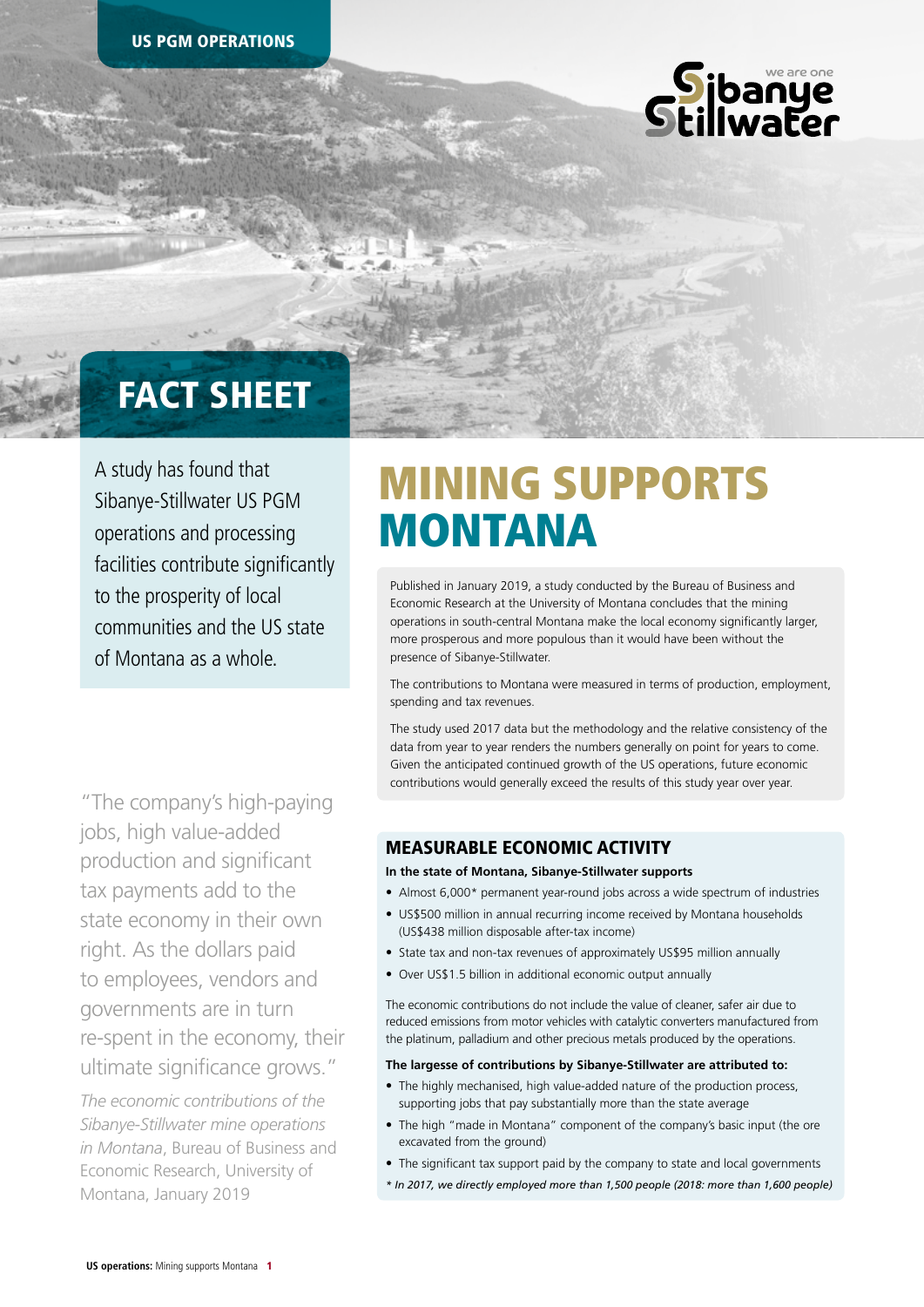

## FACT SHEET

A study has found that Sibanye-Stillwater US PGM operations and processing facilities contribute significantly to the prosperity of local communities and the US state of Montana as a whole.

"The company's high-paying jobs, high value-added production and significant tax payments add to the state economy in their own right. As the dollars paid to employees, vendors and governments are in turn re-spent in the economy, their ultimate significance grows."

*The economic contributions of the Sibanye-Stillwater mine operations in Montana*, Bureau of Business and Economic Research, University of Montana, January 2019

# MINING SUPPORTS MONTANA

Published in January 2019, a study conducted by the Bureau of Business and Economic Research at the University of Montana concludes that the mining operations in south-central Montana make the local economy significantly larger, more prosperous and more populous than it would have been without the presence of Sibanye-Stillwater.

The contributions to Montana were measured in terms of production, employment, spending and tax revenues.

The study used 2017 data but the methodology and the relative consistency of the data from year to year renders the numbers generally on point for years to come. Given the anticipated continued growth of the US operations, future economic contributions would generally exceed the results of this study year over year.

## MEASURABLE ECONOMIC ACTIVITY

#### **In the state of Montana, Sibanye-Stillwater supports**

- Almost 6,000\* permanent year-round jobs across a wide spectrum of industries
- US\$500 million in annual recurring income received by Montana households (US\$438 million disposable after-tax income)
- State tax and non-tax revenues of approximately US\$95 million annually
- Over US\$1.5 billion in additional economic output annually

The economic contributions do not include the value of cleaner, safer air due to reduced emissions from motor vehicles with catalytic converters manufactured from the platinum, palladium and other precious metals produced by the operations.

#### **The largesse of contributions by Sibanye-Stillwater are attributed to:**

- The highly mechanised, high value-added nature of the production process, supporting jobs that pay substantially more than the state average
- The high "made in Montana" component of the company's basic input (the ore excavated from the ground)
- The significant tax support paid by the company to state and local governments
- *\* In 2017, we directly employed more than 1,500 people (2018: more than 1,600 people)*